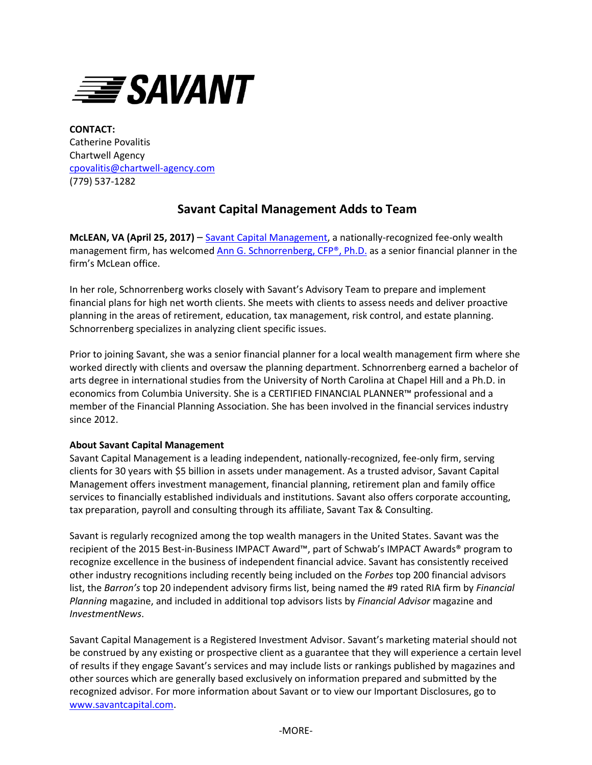

**CONTACT:** Catherine Povalitis Chartwell Agency [cpovalitis@chartwell-agency.com](mailto:cpovalitis@chartwell-agency.com) (779) 537-1282

## **Savant Capital Management Adds to Team**

**McLEAN, VA (April 25, 2017)** – [Savant Capital Management,](http://www.savantcapital.com/) a nationally-recognized fee-only wealth management firm, has welcomed [Ann G. Schnorrenberg, CFP®, Ph.D.](https://www.savantcapital.com/team-member/Ann-G.-Schnorrenberg) as a senior financial planner in the firm's McLean office.

In her role, Schnorrenberg works closely with Savant's Advisory Team to prepare and implement financial plans for high net worth clients. She meets with clients to assess needs and deliver proactive planning in the areas of retirement, education, tax management, risk control, and estate planning. Schnorrenberg specializes in analyzing client specific issues.

Prior to joining Savant, she was a senior financial planner for a local wealth management firm where she worked directly with clients and oversaw the planning department. Schnorrenberg earned a bachelor of arts degree in international studies from the University of North Carolina at Chapel Hill and a Ph.D. in economics from Columbia University. She is a CERTIFIED FINANCIAL PLANNER™ professional and a member of the Financial Planning Association. She has been involved in the financial services industry since 2012.

## **About Savant Capital Management**

Savant Capital Management is a leading independent, nationally-recognized, fee-only firm, serving clients for 30 years with \$5 billion in assets under management. As a trusted advisor, Savant Capital Management offers investment management, financial planning, retirement plan and family office services to financially established individuals and institutions. Savant also offers corporate accounting, tax preparation, payroll and consulting through its affiliate, Savant Tax & Consulting.

Savant is regularly recognized among the top wealth managers in the United States. Savant was the recipient of the 2015 Best-in-Business IMPACT Award™, part of Schwab's IMPACT Awards® program to recognize excellence in the business of independent financial advice. Savant has consistently received other industry recognitions including recently being included on the *Forbes* top 200 financial advisors list, the *Barron's* top 20 independent advisory firms list, being named the #9 rated RIA firm by *Financial Planning* magazine, and included in additional top advisors lists by *Financial Advisor* magazine and *InvestmentNews*.

Savant Capital Management is a Registered Investment Advisor. Savant's marketing material should not be construed by any existing or prospective client as a guarantee that they will experience a certain level of results if they engage Savant's services and may include lists or rankings published by magazines and other sources which are generally based exclusively on information prepared and submitted by the recognized advisor. For more information about Savant or to view our Important Disclosures, go to [www.savantcapital.com.](http://www.savantcapital.com/)